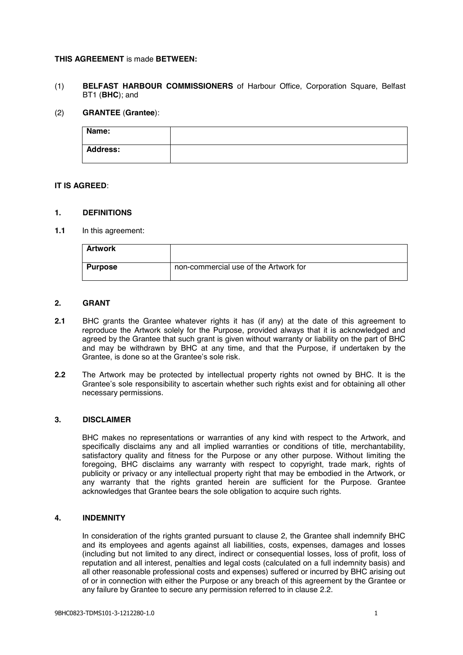## **THIS AGREEMENT** is made **BETWEEN:**

(1) **BELFAST HARBOUR COMMISSIONERS** of Harbour Office, Corporation Square, Belfast BT1 (**BHC**); and

### (2) **GRANTEE** (**Grantee**):

| Name:           |  |
|-----------------|--|
| <b>Address:</b> |  |

## **IT IS AGREED**:

### **1. DEFINITIONS**

**1.1** In this agreement:

| <b>Artwork</b> |                                       |
|----------------|---------------------------------------|
| <b>Purpose</b> | non-commercial use of the Artwork for |

# **2. GRANT**

- **2.1** BHC grants the Grantee whatever rights it has (if any) at the date of this agreement to reproduce the Artwork solely for the Purpose, provided always that it is acknowledged and agreed by the Grantee that such grant is given without warranty or liability on the part of BHC and may be withdrawn by BHC at any time, and that the Purpose, if undertaken by the Grantee, is done so at the Grantee's sole risk.
- **2.2** The Artwork may be protected by intellectual property rights not owned by BHC. It is the Grantee's sole responsibility to ascertain whether such rights exist and for obtaining all other necessary permissions.

#### **3. DISCLAIMER**

BHC makes no representations or warranties of any kind with respect to the Artwork, and specifically disclaims any and all implied warranties or conditions of title, merchantability, satisfactory quality and fitness for the Purpose or any other purpose. Without limiting the foregoing, BHC disclaims any warranty with respect to copyright, trade mark, rights of publicity or privacy or any intellectual property right that may be embodied in the Artwork, or any warranty that the rights granted herein are sufficient for the Purpose. Grantee acknowledges that Grantee bears the sole obligation to acquire such rights.

### **4. INDEMNITY**

In consideration of the rights granted pursuant to clause 2, the Grantee shall indemnify BHC and its employees and agents against all liabilities, costs, expenses, damages and losses (including but not limited to any direct, indirect or consequential losses, loss of profit, loss of reputation and all interest, penalties and legal costs (calculated on a full indemnity basis) and all other reasonable professional costs and expenses) suffered or incurred by BHC arising out of or in connection with either the Purpose or any breach of this agreement by the Grantee or any failure by Grantee to secure any permission referred to in clause 2.2.